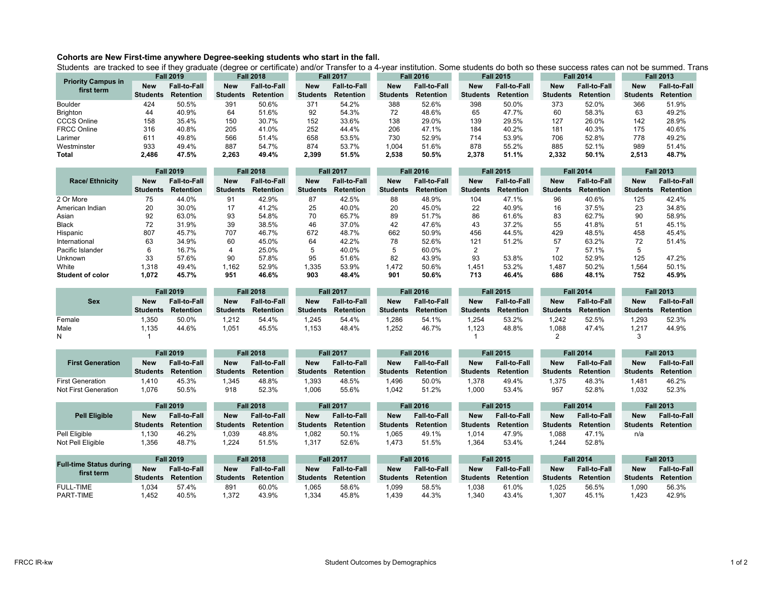## **Cohorts are New First-time anywhere Degree-seeking students who start in the fall.**

Students are tracked to see if they graduate (degree or certificate) and/or Transfer to a 4-year institution. Some students do both so these success rates can not be summed. Trans

| <b>Priority Campus in</b><br>first term | <b>Fall 2019</b> |                     | <b>Fall 2018</b> |                     | <b>Fall 2017</b> |                     | <b>Fall 2016</b> |                     | <b>Fall 2015</b> |                     | <b>Fall 2014</b> |                     | <b>Fall 2013</b> |                     |
|-----------------------------------------|------------------|---------------------|------------------|---------------------|------------------|---------------------|------------------|---------------------|------------------|---------------------|------------------|---------------------|------------------|---------------------|
|                                         | <b>New</b>       | <b>Fall-to-Fall</b> | <b>New</b>       | <b>Fall-to-Fall</b> | <b>New</b>       | <b>Fall-to-Fall</b> | <b>New</b>       | <b>Fall-to-Fall</b> | <b>New</b>       | <b>Fall-to-Fall</b> | New              | <b>Fall-to-Fall</b> | <b>New</b>       | <b>Fall-to-Fall</b> |
|                                         | <b>Students</b>  | <b>Retention</b>    | <b>Students</b>  | <b>Retention</b>    | <b>Students</b>  | <b>Retention</b>    | <b>Students</b>  | <b>Retention</b>    | <b>Students</b>  | <b>Retention</b>    | <b>Students</b>  | <b>Retention</b>    | <b>Students</b>  | <b>Retention</b>    |
| <b>Boulder</b>                          | 424              | 50.5%               | 391              | 50.6%               | 371              | 54.2%               | 388              | 52.6%               | 398              | 50.0%               | 373              | 52.0%               | 366              | 51.9%               |
| <b>Brighton</b>                         | 44               | 40.9%               | 64               | 51.6%               | 92               | 54.3%               | 72               | 48.6%               | 65               | 47.7%               | 60               | 58.3%               | 63               | 49.2%               |
| <b>CCCS Online</b>                      | 158              | 35.4%               | 150              | 30.7%               | 152              | 33.6%               | 138              | 29.0%               | 139              | 29.5%               | 127              | 26.0%               | 142              | 28.9%               |
| <b>FRCC Online</b>                      | 316              | 40.8%               | 205              | 41.0%               | 252              | 44.4%               | 206              | 47.1%               | 184              | 40.2%               | 181              | 40.3%               | 175              | 40.6%               |
| Larimer                                 | 61٬              | 49.8%               | 566              | 51.4%               | 658              | 53.5%               | 730              | 52.9%               | 714              | 53.9%               | 706              | 52.8%               | 778              | 49.2%               |
| Westminster                             | 933              | 49.4%               | 887              | 54.7%               | 874              | 53.7%               | ,004             | 51.6%               | 878              | 55.2%               | 885              | 52.1%               | 989              | 51.4%               |
| <b>Total</b>                            | 2,486            | 47.5%               | 2,263            | 49.4%               | 2,399            | 51.5%               | 2,538            | 50.5%               | 2,378            | 51.1%               | 2,332            | 50.1%               | 2,513            | 48.7%               |

|                       | <b>Fall 2019</b> |                     | <b>Fall 2018</b> |                     | <b>Fall 2017</b> |                     | <b>Fall 2016</b> |                     | <b>Fall 2015</b> |                     | <b>Fall 2014</b> |                     | <b>Fall 2013</b> |                     |
|-----------------------|------------------|---------------------|------------------|---------------------|------------------|---------------------|------------------|---------------------|------------------|---------------------|------------------|---------------------|------------------|---------------------|
| <b>Race/Ethnicity</b> | <b>New</b>       | <b>Fall-to-Fall</b> | <b>New</b>       | <b>Fall-to-Fall</b> | <b>New</b>       | <b>Fall-to-Fall</b> | <b>New</b>       | <b>Fall-to-Fall</b> | <b>New</b>       | <b>Fall-to-Fall</b> | <b>New</b>       | <b>Fall-to-Fall</b> | <b>New</b>       | <b>Fall-to-Fall</b> |
|                       | <b>Students</b>  | <b>Retention</b>    | <b>Students</b>  | <b>Retention</b>    | <b>Students</b>  | <b>Retention</b>    | <b>Students</b>  | <b>Retention</b>    | <b>Students</b>  | <b>Retention</b>    | <b>Students</b>  | <b>Retention</b>    | <b>Students</b>  | <b>Retention</b>    |
| 2 Or More             | 75               | 44.0%               | 91               | 42.9%               | 87               | 42.5%               | 88               | 48.9%               | 104              | 47.1%               | 96               | 40.6%               | 125              | 42.4%               |
| American Indian       | 20               | 30.0%               | 17               | 41.2%               | 25               | 40.0%               | 20               | 45.0%               | 22               | 40.9%               | 16               | 37.5%               | 23               | 34.8%               |
| Asian                 | 92               | 63.0%               | 93               | 54.8%               | 70               | 65.7%               | 89               | 51.7%               | 86               | 61.6%               | 83               | 62.7%               | 90               | 58.9%               |
| Black                 | 72               | 31.9%               | 39               | 38.5%               | 46               | 37.0%               | 42               | 47.6%               | 43               | 37.2%               | 55               | 41.8%               | 51               | 45.1%               |
| Hispanic              | 807              | 45.7%               | 707              | 46.7%               | 672              | 48.7%               | 662              | 50.9%               | 456              | 44.5%               | 429              | 48.5%               | 458              | 45.4%               |
| International         | 63               | 34.9%               | 60               | 45.0%               | 64               | 42.2%               | 78               | 52.6%               | 121              | 51.2%               | 57               | 63.2%               | 72               | 51.4%               |
| Pacific Islander      |                  | 16.7%               | 4                | 25.0%               |                  | 40.0%               | -5               | 60.0%               |                  |                     |                  | 57.1%               | 5                |                     |
| <b>Unknown</b>        | 33               | 57.6%               | 90               | 57.8%               | 95               | 51.6%               | 82               | 43.9%               | 93               | 53.8%               | 102              | 52.9%               | 125              | 47.2%               |
| White                 | 1,318            | 49.4%               | 1,162            | 52.9%               | 1,335            | 53.9%               | 1,472            | 50.6%               | 1,451            | 53.2%               | 1,487            | 50.2%               | .564ء            | 50.1%               |
| Student of color      | 1,072            | 45.7%               | 951              | 46.6%               | 903              | 48.4%               | 901              | 50.6%               | 713              | 46.4%               | 686              | 48.1%               | 752              | 45.9%               |

|            | <b>Fall 2019</b> |                     | <b>Fall 2018</b> |                     | <b>Fall 2017</b> |                     | <b>Fall 2016</b> |                     | <b>Fall 2015</b> |                     | <b>Fall 2014</b> |                     | <b>Fall 2013</b> |                     |
|------------|------------------|---------------------|------------------|---------------------|------------------|---------------------|------------------|---------------------|------------------|---------------------|------------------|---------------------|------------------|---------------------|
| <b>Sex</b> | <b>New</b>       | <b>Fall-to-Fall</b> | <b>New</b>       | <b>Fall-to-Fall</b> | <b>New</b>       | <b>Fall-to-Fall</b> | <b>New</b>       | <b>Fall-to-Fall</b> | <b>New</b>       | <b>Fall-to-Fall</b> | <b>New</b>       | <b>Fall-to-Fall</b> | <b>New</b>       | <b>Fall-to-Fall</b> |
|            | <b>Students</b>  | <b>Retention</b>    | <b>Students</b>  | <b>Retention</b>    | <b>Students</b>  | <b>Retention</b>    | <b>Students</b>  | <b>Retention</b>    | <b>Students</b>  | <b>Retention</b>    | <b>Students</b>  | <b>Retention</b>    | <b>Students</b>  | <b>Retention</b>    |
| Female     | ,350             | 50.0%               | ,212             | 54.4%               | ,245             | 54.4%               | ,286             | 54.1%               | .254             | 53.2%               | 1,242            | 52.5%               | ,293             | 52.3%               |
| Male       | .135             | 44.6%               | 1,051            | 45.5%               | ,153             | 48.4%               | 1,252            | 46.7%               | .123             | 48.8%               | 1.088            | 47.4%               | 1,217            | 44.9%               |
|            |                  |                     |                  |                     |                  |                     |                  |                     |                  |                     |                  |                     |                  |                     |

|                                                 |                               | <b>Fall 2019</b><br><b>Fall 2018</b>    |                               |                                         |                               | <b>Fall 2017</b>                        |                               | <b>Fall 2016</b>                        |                               | <b>Fall 2015</b>                        |                               | <b>Fall 2014</b>                        |                               | <b>Fall 2013</b>                        |  |
|-------------------------------------------------|-------------------------------|-----------------------------------------|-------------------------------|-----------------------------------------|-------------------------------|-----------------------------------------|-------------------------------|-----------------------------------------|-------------------------------|-----------------------------------------|-------------------------------|-----------------------------------------|-------------------------------|-----------------------------------------|--|
| <b>First Generation</b>                         | <b>New</b><br><b>Students</b> | <b>Fall-to-Fall</b><br><b>Retention</b> | <b>New</b><br><b>Students</b> | <b>Fall-to-Fall</b><br><b>Retention</b> | <b>New</b><br>Students        | <b>Fall-to-Fall</b><br><b>Retention</b> | <b>New</b><br><b>Students</b> | <b>Fall-to-Fall</b><br><b>Retention</b> | <b>New</b><br><b>Students</b> | <b>Fall-to-Fall</b><br><b>Retention</b> | <b>New</b><br><b>Students</b> | <b>Fall-to-Fall</b><br><b>Retention</b> | <b>New</b><br><b>Students</b> | <b>Fall-to-Fall</b><br><b>Retention</b> |  |
| <b>First Generation</b><br>Not First Generation | 1,410<br>1,076                | 45.3%<br>50.5%                          | 1,345<br>918                  | 48.8%<br>52.3%                          | 1,393<br>1,006                | 48.5%<br>55.6%                          | 1,496<br>1,042                | 50.0%<br>51.2%                          | 1,378<br>1,000                | 49.4%<br>53.4%                          | 1,375<br>957                  | 48.3%<br>52.8%                          | 1,481<br>1,032                | 46.2%<br>52.3%                          |  |
|                                                 | <b>Fall 2019</b>              |                                         |                               | <b>Fall 2018</b>                        |                               | <b>Fall 2017</b>                        |                               | <b>Fall 2016</b>                        |                               | <b>Fall 2015</b>                        |                               | <b>Fall 2014</b>                        |                               | <b>Fall 2013</b>                        |  |
| <b>Pell Eligible</b>                            | <b>New</b><br><b>Students</b> | <b>Fall-to-Fall</b><br><b>Retention</b> | <b>New</b><br><b>Students</b> | <b>Fall-to-Fall</b><br><b>Retention</b> | <b>New</b><br><b>Students</b> | <b>Fall-to-Fall</b><br><b>Retention</b> | <b>New</b><br><b>Students</b> | <b>Fall-to-Fall</b><br><b>Retention</b> | <b>New</b><br><b>Students</b> | <b>Fall-to-Fall</b><br>Retention        | <b>New</b><br><b>Students</b> | <b>Fall-to-Fall</b><br><b>Retention</b> | <b>New</b><br><b>Students</b> | <b>Fall-to-Fall</b><br><b>Retention</b> |  |
| Pell Eligible<br>Not Pell Eligible              | 1,130<br>1,356                | 46.2%<br>48.7%                          | 1,039<br>1,224                | 48.8%<br>51.5%                          | 1,082<br>1,317                | 50.1%<br>52.6%                          | 1,065<br>1,473                | 49.1%<br>51.5%                          | 1.014<br>1,364                | 47.9%<br>53.4%                          | 1,088<br>1,244                | 47.1%<br>52.8%                          | n/a                           |                                         |  |
| <b>Full-time Status during</b>                  |                               | <b>Fall 2019</b>                        |                               | <b>Fall 2018</b>                        |                               | <b>Fall 2017</b>                        |                               | <b>Fall 2016</b>                        |                               | <b>Fall 2015</b>                        |                               | <b>Fall 2014</b>                        |                               | <b>Fall 2013</b>                        |  |
| first term                                      | <b>New</b>                    | <b>Fall-to-Fall</b>                     | <b>New</b>                    | <b>Fall-to-Fall</b>                     | <b>New</b>                    | <b>Fall-to-Fall</b>                     | <b>New</b>                    | <b>Fall-to-Fall</b>                     | <b>New</b>                    | <b>Fall-to-Fall</b>                     | <b>New</b>                    | <b>Fall-to-Fall</b>                     | <b>New</b>                    | <b>Fall-to-Fall</b>                     |  |
|                                                 | <b>Students</b>               | <b>Retention</b>                        | <b>Students</b>               | <b>Retention</b>                        | <b>Students</b>               | <b>Retention</b>                        | <b>Students</b>               | <b>Retention</b>                        | <b>Students</b>               | <b>Retention</b>                        | <b>Students</b>               | <b>Retention</b>                        | <b>Students</b>               | <b>Retention</b>                        |  |
| <b>FULL-TIME</b><br>PART-TIME                   | 1,034<br>1,452                | 57.4%<br>40.5%                          | 891<br>1,372                  | 60.0%<br>43.9%                          | 1,065<br>1,334                | 58.6%<br>45.8%                          | 1,099<br>1,439                | 58.5%<br>44.3%                          | 1,038<br>1,340                | 61.0%<br>43.4%                          | 1,025<br>1,307                | 56.5%<br>45.1%                          | 1,090<br>1,423                | 56.3%<br>42.9%                          |  |